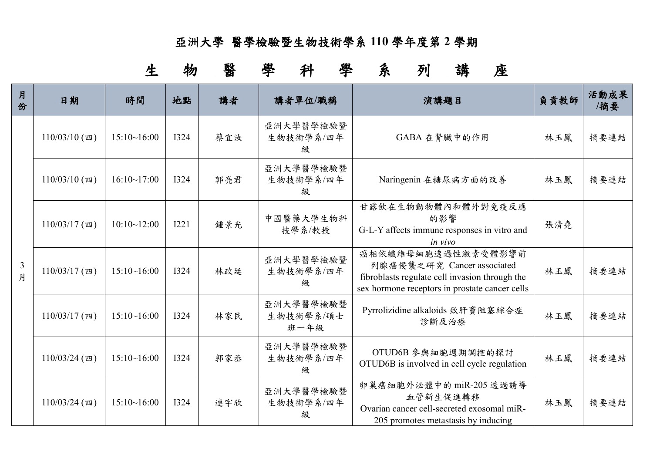## 亞洲大學 醫學檢驗暨生物技術學系 **110** 學年度第 **2** 學期

生物醫學科學系列講座

| 月<br>份              | 日期              | 時間          | 地點          | 講者  | 講者單位/職稱                        | 演講題目                                                                                                                                                 | 負責教師 | 活動成果<br>/摘要 |
|---------------------|-----------------|-------------|-------------|-----|--------------------------------|------------------------------------------------------------------------------------------------------------------------------------------------------|------|-------------|
| $\mathfrak{Z}$<br>月 | $110/03/10$ (四) | 15:10~16:00 | <b>I324</b> | 蔡宜汝 | 亞洲大學醫學檢驗暨<br>生物技術學系/四年<br>级    | GABA 在腎臟中的作用                                                                                                                                         | 林玉鳳  | 摘要連結        |
|                     | $110/03/10$ (四) | 16:10~17:00 | I324        | 郭亮君 | 亞洲大學醫學檢驗暨<br>生物技術學系/四年<br>級    | Naringenin 在糖尿病方面的改善                                                                                                                                 | 林玉鳳  | 摘要連結        |
|                     | $110/03/17$ (四) | 10:10~12:00 | <b>I221</b> | 鍾景光 | 中國醫藥大學生物科<br>技學系/教授            | 甘露飲在生物動物體內和體外對免疫反應<br>的影響<br>G-L-Y affects immune responses in vitro and<br>in vivo                                                                  | 張清堯  |             |
|                     | $110/03/17$ (四) | 15:10~16:00 | I324        | 林政廷 | 亞洲大學醫學檢驗暨<br>生物技術學系/四年<br>级    | 癌相依纖維母細胞透過性激素受體影響前<br>列腺癌侵襲之研究 Cancer associated<br>fibroblasts regulate cell invasion through the<br>sex hormone receptors in prostate cancer cells | 林玉鳳  | 摘要連結        |
|                     | $110/03/17$ (四) | 15:10~16:00 | I324        | 林家民 | 亞洲大學醫學檢驗暨<br>生物技術學系/碩士<br>班一年級 | Pyrrolizidine alkaloids 致肝竇阻塞綜合症<br>診斷及治療                                                                                                            | 林玉鳳  | 摘要連結        |
|                     | $110/03/24$ (四) | 15:10~16:00 | <b>I324</b> | 郭家丞 | 亞洲大學醫學檢驗暨<br>生物技術學系/四年<br>級    | OTUD6B 参與細胞週期調控的探討<br>OTUD6B is involved in cell cycle regulation                                                                                    | 林玉鳳  | 摘要連結        |
|                     | $110/03/24$ (四) | 15:10~16:00 | <b>I324</b> | 連宇欣 | 亞洲大學醫學檢驗暨<br>生物技術學系/四年<br>级    | 卵巢癌細胞外泌體中的 miR-205 透過誘導<br>血管新生促進轉移<br>Ovarian cancer cell-secreted exosomal miR-<br>205 promotes metastasis by inducing                             | 林玉鳳  | 摘要連結        |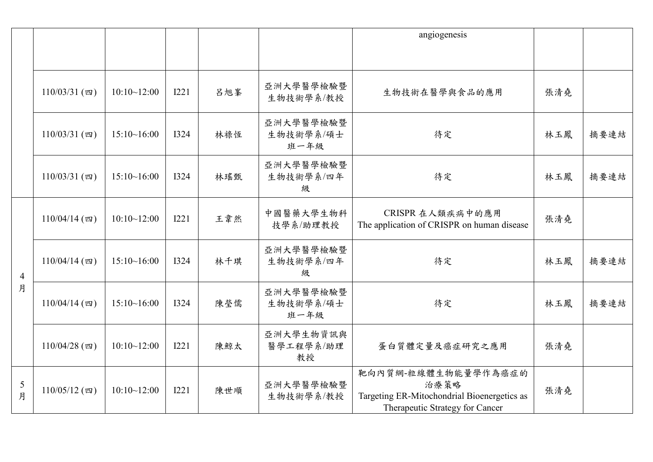|                     |                 |             |             |     |                                | angiogenesis                                                                                                  |     |      |
|---------------------|-----------------|-------------|-------------|-----|--------------------------------|---------------------------------------------------------------------------------------------------------------|-----|------|
|                     |                 |             |             |     |                                |                                                                                                               |     |      |
|                     | $110/03/31$ (四) | 10:10~12:00 | <b>I221</b> | 呂旭峯 | 亞洲大學醫學檢驗暨<br>生物技術學系/教授         | 生物技術在醫學與食品的應用                                                                                                 | 張清堯 |      |
|                     | $110/03/31$ (四) | 15:10~16:00 | <b>I324</b> | 林祿恆 | 亞洲大學醫學檢驗暨<br>生物技術學系/碩士<br>班一年級 | 待定                                                                                                            | 林玉鳳 | 摘要連結 |
|                     | $110/03/31$ (四) | 15:10~16:00 | <b>I324</b> | 林瑤甄 | 亞洲大學醫學檢驗暨<br>生物技術學系/四年<br>级    | 待定                                                                                                            | 林玉鳳 | 摘要連結 |
| $\overline{4}$<br>月 | $110/04/14$ (四) | 10:10~12:00 | <b>I221</b> | 王韋然 | 中國醫藥大學生物科<br>技學系/助理教授          | CRISPR 在人類疾病中的應用<br>The application of CRISPR on human disease                                                | 張清堯 |      |
|                     | $110/04/14$ (四) | 15:10~16:00 | <b>I324</b> | 林千琪 | 亞洲大學醫學檢驗暨<br>生物技術學系/四年<br>级    | 待定                                                                                                            | 林玉鳳 | 摘要連結 |
|                     | $110/04/14$ (四) | 15:10~16:00 | <b>I324</b> | 陳瑩儒 | 亞洲大學醫學檢驗暨<br>生物技術學系/碩士<br>班一年級 | 待定                                                                                                            | 林玉鳳 | 摘要連結 |
|                     | $110/04/28$ (四) | 10:10~12:00 | I221        | 陳鯨太 | 亞洲大學生物資訊與<br>醫學工程學系/助理<br>教授   | 蛋白質體定量及癌症研究之應用                                                                                                | 張清堯 |      |
| $\mathfrak{S}$<br>月 | $110/05/12$ (四) | 10:10~12:00 | <b>I221</b> | 陳世順 | 亞洲大學醫學檢驗暨<br>生物技術學系/教授         | 靶向內質網-粒線體生物能量學作為癌症的<br>治療策略<br>Targeting ER-Mitochondrial Bioenergetics as<br>Therapeutic Strategy for Cancer | 張清堯 |      |